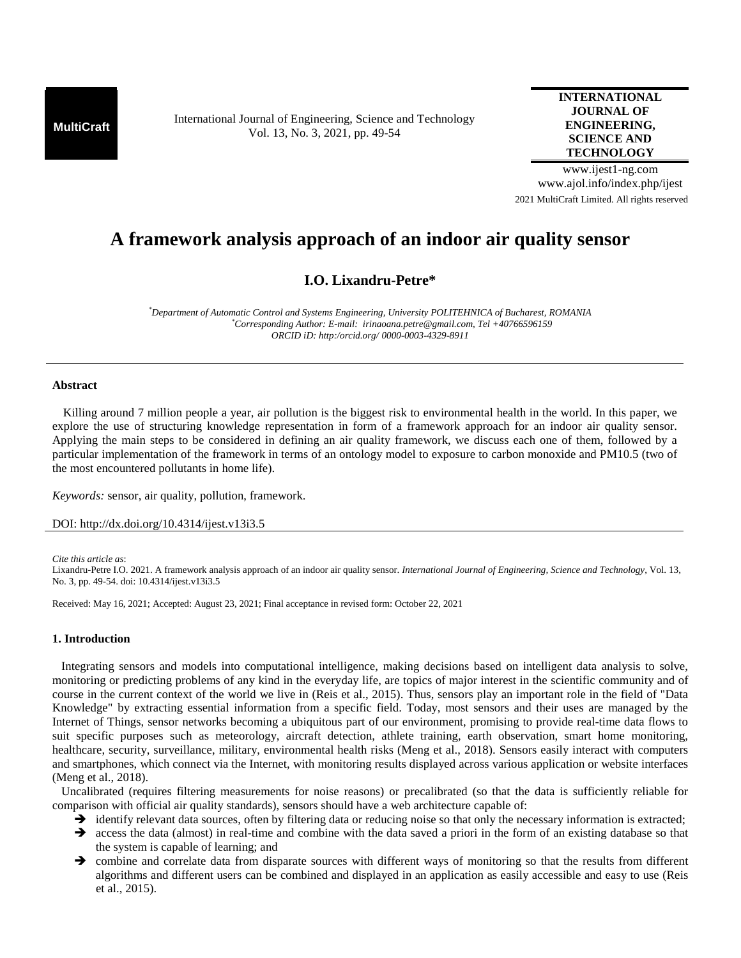**MultiCraft** International Journal of Engineering, Science and Technology Vol. 13, No. 3, 2021, pp. 49-54

# **INTERNATIONAL JOURNAL OF ENGINEERING, SCIENCE AND TECHNOLOGY**

www.ijest1-ng.com www.ajol.info/index.php/ijest 2021 MultiCraft Limited. All rights reserved

# **A framework analysis approach of an indoor air quality sensor**

# **I.O. Lixandru-Petre\***

*\*Department of Automatic Control and Systems Engineering, University POLITEHNICA of Bucharest, ROMANIA \*Corresponding Author: E-mail: irinaoana.petre@gmail.com, Tel +40766596159 ORCID iD: http:/orcid.org/ 0000-0003-4329-8911* 

## **Abstract**

 Killing around 7 million people a year, air pollution is the biggest risk to environmental health in the world. In this paper, we explore the use of structuring knowledge representation in form of a framework approach for an indoor air quality sensor. Applying the main steps to be considered in defining an air quality framework, we discuss each one of them, followed by a particular implementation of the framework in terms of an ontology model to exposure to carbon monoxide and PM10.5 (two of the most encountered pollutants in home life).

*Keywords:* sensor, air quality, pollution, framework.

DOI: http://dx.doi.org/10.4314/ijest.v13i3.5

*Cite this article as*:

Lixandru-Petre I.O. 2021. A framework analysis approach of an indoor air quality sensor. *International Journal of Engineering, Science and Technology*, Vol. 13, No. 3, pp. 49-54. doi: 10.4314/ijest.v13i3.5

Received: May 16, 2021; Accepted: August 23, 2021; Final acceptance in revised form: October 22, 2021

# **1. Introduction**

 Integrating sensors and models into computational intelligence, making decisions based on intelligent data analysis to solve, monitoring or predicting problems of any kind in the everyday life, are topics of major interest in the scientific community and of course in the current context of the world we live in (Reis et al., 2015). Thus, sensors play an important role in the field of "Data Knowledge" by extracting essential information from a specific field. Today, most sensors and their uses are managed by the Internet of Things, sensor networks becoming a ubiquitous part of our environment, promising to provide real-time data flows to suit specific purposes such as meteorology, aircraft detection, athlete training, earth observation, smart home monitoring, healthcare, security, surveillance, military, environmental health risks (Meng et al., 2018). Sensors easily interact with computers and smartphones, which connect via the Internet, with monitoring results displayed across various application or website interfaces (Meng et al., 2018).

 Uncalibrated (requires filtering measurements for noise reasons) or precalibrated (so that the data is sufficiently reliable for comparison with official air quality standards), sensors should have a web architecture capable of:

- $\rightarrow$  identify relevant data sources, often by filtering data or reducing noise so that only the necessary information is extracted;
- $\rightarrow$  access the data (almost) in real-time and combine with the data saved a priori in the form of an existing database so that the system is capable of learning; and
- combine and correlate data from disparate sources with different ways of monitoring so that the results from different algorithms and different users can be combined and displayed in an application as easily accessible and easy to use (Reis et al., 2015).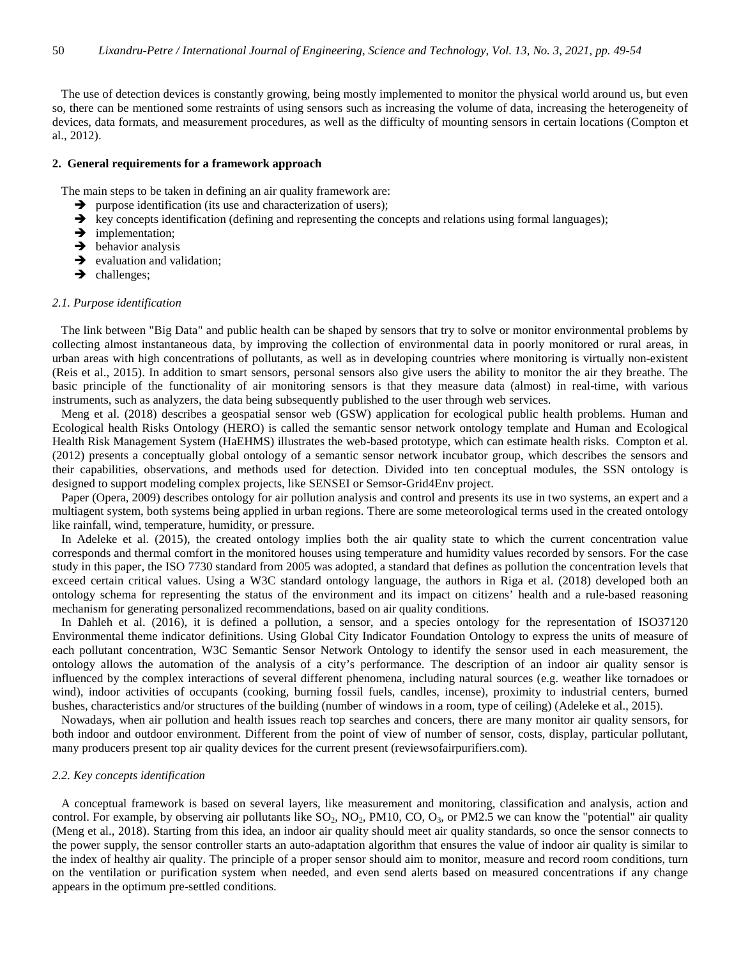The use of detection devices is constantly growing, being mostly implemented to monitor the physical world around us, but even so, there can be mentioned some restraints of using sensors such as increasing the volume of data, increasing the heterogeneity of devices, data formats, and measurement procedures, as well as the difficulty of mounting sensors in certain locations (Compton et al., 2012).

#### **2. General requirements for a framework approach**

The main steps to be taken in defining an air quality framework are:

- $\rightarrow$  purpose identification (its use and characterization of users);
- $\rightarrow$  key concepts identification (defining and representing the concepts and relations using formal languages);
- $\rightarrow$  implementation;
- $\rightarrow$  behavior analysis
- $\rightarrow$  evaluation and validation;
- $\rightarrow$  challenges;

#### *2.1. Purpose identification*

 The link between "Big Data" and public health can be shaped by sensors that try to solve or monitor environmental problems by collecting almost instantaneous data, by improving the collection of environmental data in poorly monitored or rural areas, in urban areas with high concentrations of pollutants, as well as in developing countries where monitoring is virtually non-existent (Reis et al., 2015). In addition to smart sensors, personal sensors also give users the ability to monitor the air they breathe. The basic principle of the functionality of air monitoring sensors is that they measure data (almost) in real-time, with various instruments, such as analyzers, the data being subsequently published to the user through web services.

 Meng et al. (2018) describes a geospatial sensor web (GSW) application for ecological public health problems. Human and Ecological health Risks Ontology (HERO) is called the semantic sensor network ontology template and Human and Ecological Health Risk Management System (HaEHMS) illustrates the web-based prototype, which can estimate health risks. Compton et al. (2012) presents a conceptually global ontology of a semantic sensor network incubator group, which describes the sensors and their capabilities, observations, and methods used for detection. Divided into ten conceptual modules, the SSN ontology is designed to support modeling complex projects, like SENSEI or Semsor-Grid4Env project.

 Paper (Opera, 2009) describes ontology for air pollution analysis and control and presents its use in two systems, an expert and a multiagent system, both systems being applied in urban regions. There are some meteorological terms used in the created ontology like rainfall, wind, temperature, humidity, or pressure.

 In Adeleke et al. (2015), the created ontology implies both the air quality state to which the current concentration value corresponds and thermal comfort in the monitored houses using temperature and humidity values recorded by sensors. For the case study in this paper, the ISO 7730 standard from 2005 was adopted, a standard that defines as pollution the concentration levels that exceed certain critical values. Using a W3C standard ontology language, the authors in Riga et al. (2018) developed both an ontology schema for representing the status of the environment and its impact on citizens' health and a rule-based reasoning mechanism for generating personalized recommendations, based on air quality conditions.

 In Dahleh et al. (2016), it is defined a pollution, a sensor, and a species ontology for the representation of ISO37120 Environmental theme indicator definitions. Using Global City Indicator Foundation Ontology to express the units of measure of each pollutant concentration, W3C Semantic Sensor Network Ontology to identify the sensor used in each measurement, the ontology allows the automation of the analysis of a city's performance. The description of an indoor air quality sensor is influenced by the complex interactions of several different phenomena, including natural sources (e.g. weather like tornadoes or wind), indoor activities of occupants (cooking, burning fossil fuels, candles, incense), proximity to industrial centers, burned bushes, characteristics and/or structures of the building (number of windows in a room, type of ceiling) (Adeleke et al., 2015).

 Nowadays, when air pollution and health issues reach top searches and concers, there are many monitor air quality sensors, for both indoor and outdoor environment. Different from the point of view of number of sensor, costs, display, particular pollutant, many producers present top air quality devices for the current present (reviewsofairpurifiers.com).

#### *2.2. Key concepts identification*

 A conceptual framework is based on several layers, like measurement and monitoring, classification and analysis, action and control. For example, by observing air pollutants like  $SO_2$ ,  $NO_2$ ,  $PO_1$ ,  $CO$ ,  $O_3$ , or  $PM2.5$  we can know the "potential" air quality (Meng et al., 2018). Starting from this idea, an indoor air quality should meet air quality standards, so once the sensor connects to the power supply, the sensor controller starts an auto-adaptation algorithm that ensures the value of indoor air quality is similar to the index of healthy air quality. The principle of a proper sensor should aim to monitor, measure and record room conditions, turn on the ventilation or purification system when needed, and even send alerts based on measured concentrations if any change appears in the optimum pre-settled conditions.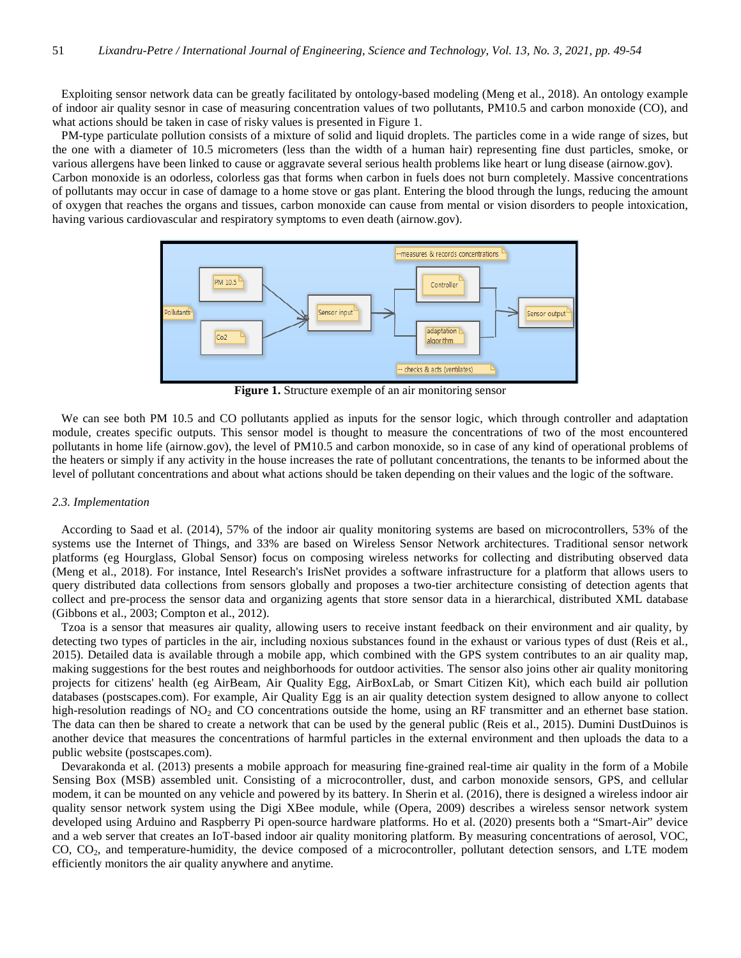Exploiting sensor network data can be greatly facilitated by ontology-based modeling (Meng et al., 2018). An ontology example of indoor air quality sesnor in case of measuring concentration values of two pollutants, PM10.5 and carbon monoxide (CO), and what actions should be taken in case of risky values is presented in Figure 1.

 PM-type particulate pollution consists of a mixture of solid and liquid droplets. The particles come in a wide range of sizes, but the one with a diameter of 10.5 micrometers (less than the width of a human hair) representing fine dust particles, smoke, or various allergens have been linked to cause or aggravate several serious health problems like heart or lung disease (airnow.gov).

Carbon monoxide is an odorless, colorless gas that forms when carbon in fuels does not burn completely. Massive concentrations of pollutants may occur in case of damage to a home stove or gas plant. Entering the blood through the lungs, reducing the amount of oxygen that reaches the organs and tissues, carbon monoxide can cause from mental or vision disorders to people intoxication, having various cardiovascular and respiratory symptoms to even death (airnow.gov).



**Figure 1.** Structure exemple of an air monitoring sensor

 We can see both PM 10.5 and CO pollutants applied as inputs for the sensor logic, which through controller and adaptation module, creates specific outputs. This sensor model is thought to measure the concentrations of two of the most encountered pollutants in home life (airnow.gov), the level of PM10.5 and carbon monoxide, so in case of any kind of operational problems of the heaters or simply if any activity in the house increases the rate of pollutant concentrations, the tenants to be informed about the level of pollutant concentrations and about what actions should be taken depending on their values and the logic of the software.

# *2.3. Implementation*

 According to Saad et al. (2014), 57% of the indoor air quality monitoring systems are based on microcontrollers, 53% of the systems use the Internet of Things, and 33% are based on Wireless Sensor Network architectures. Traditional sensor network platforms (eg Hourglass, Global Sensor) focus on composing wireless networks for collecting and distributing observed data (Meng et al., 2018). For instance, Intel Research's IrisNet provides a software infrastructure for a platform that allows users to query distributed data collections from sensors globally and proposes a two-tier architecture consisting of detection agents that collect and pre-process the sensor data and organizing agents that store sensor data in a hierarchical, distributed XML database (Gibbons et al., 2003; Compton et al., 2012).

 Tzoa is a sensor that measures air quality, allowing users to receive instant feedback on their environment and air quality, by detecting two types of particles in the air, including noxious substances found in the exhaust or various types of dust (Reis et al., 2015). Detailed data is available through a mobile app, which combined with the GPS system contributes to an air quality map, making suggestions for the best routes and neighborhoods for outdoor activities. The sensor also joins other air quality monitoring projects for citizens' health (eg AirBeam, Air Quality Egg, AirBoxLab, or Smart Citizen Kit), which each build air pollution databases (postscapes.com). For example, Air Quality Egg is an air quality detection system designed to allow anyone to collect high-resolution readings of  $NO<sub>2</sub>$  and CO concentrations outside the home, using an RF transmitter and an ethernet base station. The data can then be shared to create a network that can be used by the general public (Reis et al., 2015). Dumini DustDuinos is another device that measures the concentrations of harmful particles in the external environment and then uploads the data to a public website (postscapes.com).

 Devarakonda et al. (2013) presents a mobile approach for measuring fine-grained real-time air quality in the form of a Mobile Sensing Box (MSB) assembled unit. Consisting of a microcontroller, dust, and carbon monoxide sensors, GPS, and cellular modem, it can be mounted on any vehicle and powered by its battery. In Sherin et al. (2016), there is designed a wireless indoor air quality sensor network system using the Digi XBee module, while (Opera, 2009) describes a wireless sensor network system developed using Arduino and Raspberry Pi open-source hardware platforms. Ho et al. (2020) presents both a "Smart-Air" device and a web server that creates an IoT-based indoor air quality monitoring platform. By measuring concentrations of aerosol, VOC, CO, CO<sub>2</sub>, and temperature-humidity, the device composed of a microcontroller, pollutant detection sensors, and LTE modem efficiently monitors the air quality anywhere and anytime.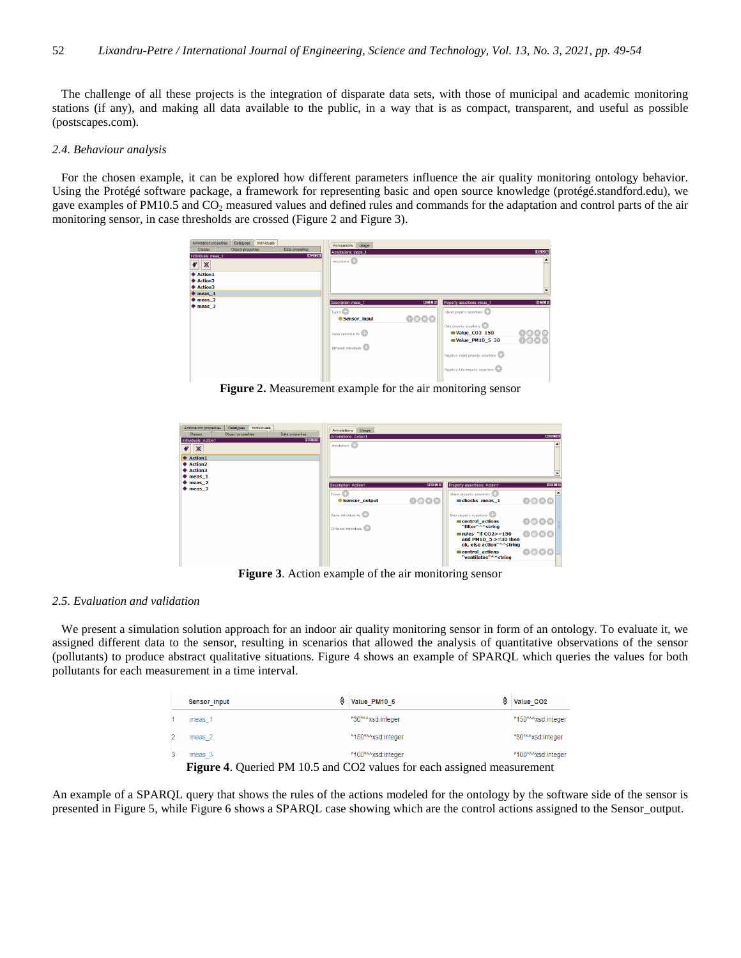The challenge of all these projects is the integration of disparate data sets, with those of municipal and academic monitoring stations (if any), and making all data available to the public, in a way that is as compact, transparent, and useful as possible (postscapes.com).

# *2.4. Behaviour analysis*

 For the chosen example, it can be explored how different parameters influence the air quality monitoring ontology behavior. Using the Protégé software package, a framework for representing basic and open source knowledge (protégé.standford.edu), we gave examples of PM10.5 and  $CO<sub>2</sub>$  measured values and defined rules and commands for the adaptation and control parts of the air monitoring sensor, in case thresholds are crossed (Figure 2 and Figure 3).

| Annotation properties<br>Individuals<br>Datatypes<br>Object properties<br>Data properties<br>Classes<br>080<br>Individuals: meas 1<br>$\mathbb X$<br>¢<br><b>♦ Action1</b><br>♦ Action2<br>♦ Action3<br>$\bullet$ meas 1 | Annotations<br>Usage<br>Annotations: meas 1<br>Annotations <sup>1</sup>                                                                                                                                                                                                                                                                             | $0 = 0$                             |
|--------------------------------------------------------------------------------------------------------------------------------------------------------------------------------------------------------------------------|-----------------------------------------------------------------------------------------------------------------------------------------------------------------------------------------------------------------------------------------------------------------------------------------------------------------------------------------------------|-------------------------------------|
| $*$ meas $2$<br>$\bullet$ meas $3$                                                                                                                                                                                       | $B = 50$<br>Description: meas_1<br>Property assertions: meas_1<br>T <sub>types</sub><br>Object property assertions<br>0000<br>Sensor input<br>Data property assertions<br><b>Nalue CO2 150</b><br>Same Individual As<br><b>Walue PM10 5 30</b><br>Different Individuals<br>Negative object property assertions<br>Negative data property assertions | 0000<br>$Q$ $\odot$ $\odot$ $\odot$ |

**Figure 2.** Measurement example for the air monitoring sensor

| $* meas 2$<br><b>DEED</b><br>Description: Action1<br>Property assertions: Action1<br>$*$ meas $3$<br>Types <b>CD</b><br>Object property assertions<br>0000<br>0000<br>checks meas 1<br>Sensor_output<br>Same Individual As<br>Data property assertions<br>0000<br>control actions<br>"filter"^^string<br>Different Individuals<br>6080<br>$rules$ "if $CO2>=150$ | Individuals<br><b>Datatypes</b><br>Annotation properties<br>Object properties<br>Data properties<br>Classes<br>0888<br>Individuals: Action1<br>$\mathbb{X}$<br><b>◆ Action1</b><br>Action <sub>2</sub><br>Action3<br>$*$ meas $1$ | Annotations<br>Usage<br>Annotations: Action1<br>Annotations <sup>(</sup> | $B = B$ |
|------------------------------------------------------------------------------------------------------------------------------------------------------------------------------------------------------------------------------------------------------------------------------------------------------------------------------------------------------------------|-----------------------------------------------------------------------------------------------------------------------------------------------------------------------------------------------------------------------------------|--------------------------------------------------------------------------|---------|
|                                                                                                                                                                                                                                                                                                                                                                  |                                                                                                                                                                                                                                   |                                                                          | 田田田田    |
| ok, else action"^^string<br>0000<br>control actions                                                                                                                                                                                                                                                                                                              |                                                                                                                                                                                                                                   | and PM10 $5 > = 30$ then                                                 |         |

**Figure 3**. Action example of the air monitoring sensor

#### *2.5. Evaluation and validation*

 We present a simulation solution approach for an indoor air quality monitoring sensor in form of an ontology. To evaluate it, we assigned different data to the sensor, resulting in scenarios that allowed the analysis of quantitative observations of the sensor (pollutants) to produce abstract qualitative situations. Figure 4 shows an example of SPARQL which queries the values for both pollutants for each measurement in a time interval.

|   | Sensor input       | 4 | Value PM10 5       | ₿ | Value CO <sub>2</sub> |
|---|--------------------|---|--------------------|---|-----------------------|
|   | $:meas_1$          |   | "30"^^xsd:integer  |   | "150"^^xsd:integer    |
|   | :meas <sub>2</sub> |   | "150"^^xsd:integer |   | "30"^^xsd:integer     |
| 3 | :meas 3            |   | "100"^^xsd:integer |   | "100"^^xsd:integer    |

**Figure 4**. Queried PM 10.5 and CO2 values for each assigned measurement

An example of a SPARQL query that shows the rules of the actions modeled for the ontology by the software side of the sensor is presented in Figure 5, while Figure 6 shows a SPARQL case showing which are the control actions assigned to the Sensor\_output.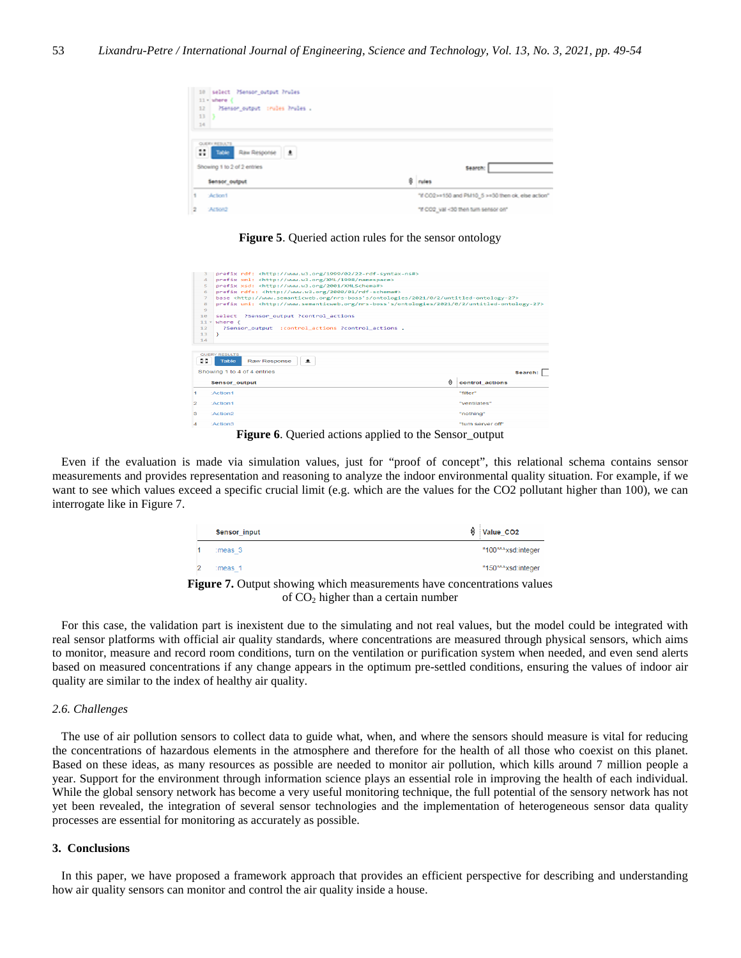| 10 select Henson_output Prules<br>11 - where {                  |                                                    |
|-----------------------------------------------------------------|----------------------------------------------------|
| 33<br>PSenson_output crubes hrubes .                            |                                                    |
| 13                                                              |                                                    |
| 14                                                              |                                                    |
| QUERY RESULTS<br>4,81<br>Raw Response<br>$\bullet$<br>Table<br> |                                                    |
| Showing 1 to 2 of 2 entries                                     | Search:                                            |
| Sensor output                                                   | ۵<br>news                                          |
| Action1                                                         | "If CO2>+150 and PM10_5 >+30 then ok, else action" |

**Figure 5**. Queried action rules for the sensor ontology

| 4                   | :Action3                                                                                                                                                                                                                          | "turn server off"    |  |  |  |  |  |
|---------------------|-----------------------------------------------------------------------------------------------------------------------------------------------------------------------------------------------------------------------------------|----------------------|--|--|--|--|--|
| з                   | :Action2                                                                                                                                                                                                                          | "nothing"            |  |  |  |  |  |
| 2                   | 'Action1                                                                                                                                                                                                                          | "ventilates"         |  |  |  |  |  |
| и.                  | :Action1                                                                                                                                                                                                                          | "filter"             |  |  |  |  |  |
|                     | <b>Sensor output</b>                                                                                                                                                                                                              | А<br>control actions |  |  |  |  |  |
|                     | Showing 1 to 4 of 4 entries                                                                                                                                                                                                       | Search:              |  |  |  |  |  |
| 医器<br>$\sim$ $\sim$ | QUERY RESULTS<br>Raw Response<br>土<br><b>Table</b>                                                                                                                                                                                |                      |  |  |  |  |  |
| 14                  |                                                                                                                                                                                                                                   |                      |  |  |  |  |  |
| 13                  | Y.                                                                                                                                                                                                                                |                      |  |  |  |  |  |
| 12                  | ?Sensor output : control actions ?control actions .                                                                                                                                                                               |                      |  |  |  |  |  |
| $11 -$              | where $f$                                                                                                                                                                                                                         |                      |  |  |  |  |  |
| $\bullet$<br>10     | select ?Sensor output ?control actions                                                                                                                                                                                            |                      |  |  |  |  |  |
| 8                   | prefix uni: <http: 0="" 2="" 2021="" nrs-boss's="" ontologies="" untitled-ontology-27="" www.semanticweb.org=""></http:>                                                                                                          |                      |  |  |  |  |  |
|                     | prefix rdfs: <http: 01="" 2000="" rdf-schema#="" www.w3.org=""><br/>6<br/>base <http: 0="" 2="" 2021="" nrs-boss's="" ontologies="" untitled-ontology-27="" www.semanticweb.org=""><br/><math>\overline{z}</math></http:></http:> |                      |  |  |  |  |  |
|                     |                                                                                                                                                                                                                                   |                      |  |  |  |  |  |
| $\overline{a}$      | prefix xsd: <http: 2001="" www.w3.org="" xmlschema#=""></http:>                                                                                                                                                                   |                      |  |  |  |  |  |
| $\sqrt{2}$          | prefix xml: <http: 1998="" namespace="" www.w3.org="" xml=""></http:>                                                                                                                                                             |                      |  |  |  |  |  |

**Figure 6**. Queried actions applied to the Sensor\_output

 Even if the evaluation is made via simulation values, just for "proof of concept", this relational schema contains sensor measurements and provides representation and reasoning to analyze the indoor environmental quality situation. For example, if we want to see which values exceed a specific crucial limit (e.g. which are the values for the CO2 pollutant higher than 100), we can interrogate like in Figure 7.

| Sensor input                                                                                  | ≙<br>Value CO <sub>2</sub> |
|-----------------------------------------------------------------------------------------------|----------------------------|
| :meas <sub>3</sub>                                                                            | "100"^^xsd:integer         |
| :meas <sub>1</sub>                                                                            | "150"^^xsd:integer         |
| $\mathbb{R}$ . The contract three is a subject of the community leave representation of $\pi$ |                            |

**Figure 7.** Output showing which measurements have concentrations values of  $CO<sub>2</sub>$  higher than a certain number

 For this case, the validation part is inexistent due to the simulating and not real values, but the model could be integrated with real sensor platforms with official air quality standards, where concentrations are measured through physical sensors, which aims to monitor, measure and record room conditions, turn on the ventilation or purification system when needed, and even send alerts based on measured concentrations if any change appears in the optimum pre-settled conditions, ensuring the values of indoor air quality are similar to the index of healthy air quality.

# *2.6. Challenges*

 The use of air pollution sensors to collect data to guide what, when, and where the sensors should measure is vital for reducing the concentrations of hazardous elements in the atmosphere and therefore for the health of all those who coexist on this planet. Based on these ideas, as many resources as possible are needed to monitor air pollution, which kills around 7 million people a year. Support for the environment through information science plays an essential role in improving the health of each individual. While the global sensory network has become a very useful monitoring technique, the full potential of the sensory network has not yet been revealed, the integration of several sensor technologies and the implementation of heterogeneous sensor data quality processes are essential for monitoring as accurately as possible.

# **3. Conclusions**

 In this paper, we have proposed a framework approach that provides an efficient perspective for describing and understanding how air quality sensors can monitor and control the air quality inside a house.